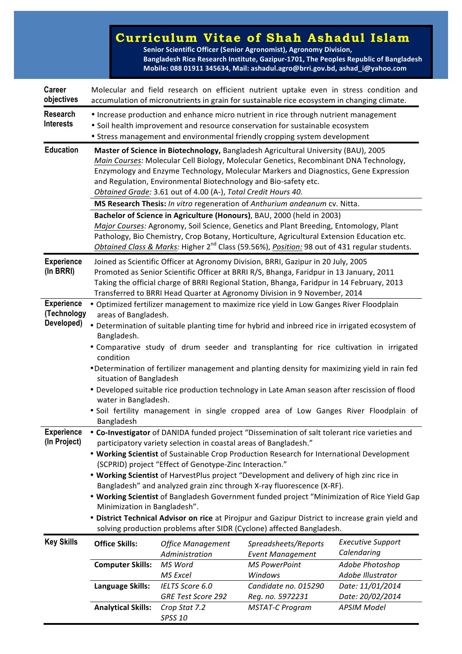## **Curriculum Vitae of Shah Ashadul Islam**

**Senior Scientific Officer (Senior Agronomist), Agronomy Division,** Bangladesh Rice Research Institute, Gazipur-1701, The Peoples Republic of Bangladesh **Mobile: 088 01911 345634, Mail: ashadul.agro@brri.gov.bd, ashad\_i@yahoo.com**

| Career<br>objectives                                                                | Molecular and field research on efficient nutrient uptake even in stress condition and<br>accumulation of micronutrients in grain for sustainable rice ecosystem in changing climate.                                                                                                                                                                                                                                                                                                                                                                                                                                                                                                                                                                                                                                                                                                                                                                                                                                                                                                                                                                                                                                                                                                                                                                                                                               |                                            |                                                                                                                                                                                                                                                                                                                                                                           |                                         |  |
|-------------------------------------------------------------------------------------|---------------------------------------------------------------------------------------------------------------------------------------------------------------------------------------------------------------------------------------------------------------------------------------------------------------------------------------------------------------------------------------------------------------------------------------------------------------------------------------------------------------------------------------------------------------------------------------------------------------------------------------------------------------------------------------------------------------------------------------------------------------------------------------------------------------------------------------------------------------------------------------------------------------------------------------------------------------------------------------------------------------------------------------------------------------------------------------------------------------------------------------------------------------------------------------------------------------------------------------------------------------------------------------------------------------------------------------------------------------------------------------------------------------------|--------------------------------------------|---------------------------------------------------------------------------------------------------------------------------------------------------------------------------------------------------------------------------------------------------------------------------------------------------------------------------------------------------------------------------|-----------------------------------------|--|
| Research<br><b>Interests</b>                                                        |                                                                                                                                                                                                                                                                                                                                                                                                                                                                                                                                                                                                                                                                                                                                                                                                                                                                                                                                                                                                                                                                                                                                                                                                                                                                                                                                                                                                                     |                                            | • Increase production and enhance micro nutrient in rice through nutrient management<br>· Soil health improvement and resource conservation for sustainable ecosystem<br>• Stress management and environmental friendly cropping system development                                                                                                                       |                                         |  |
| <b>Education</b>                                                                    | Master of Science in Biotechnology, Bangladesh Agricultural University (BAU), 2005<br>Main Courses: Molecular Cell Biology, Molecular Genetics, Recombinant DNA Technology,<br>Enzymology and Enzyme Technology, Molecular Markers and Diagnostics, Gene Expression<br>and Regulation, Environmental Biotechnology and Bio-safety etc.<br>Obtained Grade: 3.61 out of 4.00 (A-), Total Credit Hours 40.                                                                                                                                                                                                                                                                                                                                                                                                                                                                                                                                                                                                                                                                                                                                                                                                                                                                                                                                                                                                             |                                            |                                                                                                                                                                                                                                                                                                                                                                           |                                         |  |
|                                                                                     | MS Research Thesis: In vitro regeneration of Anthurium andeanum cv. Nitta.                                                                                                                                                                                                                                                                                                                                                                                                                                                                                                                                                                                                                                                                                                                                                                                                                                                                                                                                                                                                                                                                                                                                                                                                                                                                                                                                          |                                            |                                                                                                                                                                                                                                                                                                                                                                           |                                         |  |
|                                                                                     |                                                                                                                                                                                                                                                                                                                                                                                                                                                                                                                                                                                                                                                                                                                                                                                                                                                                                                                                                                                                                                                                                                                                                                                                                                                                                                                                                                                                                     |                                            | Bachelor of Science in Agriculture (Honours), BAU, 2000 (held in 2003)<br>Major Courses: Agronomy, Soil Science, Genetics and Plant Breeding, Entomology, Plant<br>Pathology, Bio Chemistry, Crop Botany, Horticulture, Agricultural Extension Education etc.<br>Obtained Class & Marks: Higher 2 <sup>nd</sup> Class (59.56%), Position: 98 out of 431 regular students. |                                         |  |
| <b>Experience</b><br>(In BRRI)                                                      |                                                                                                                                                                                                                                                                                                                                                                                                                                                                                                                                                                                                                                                                                                                                                                                                                                                                                                                                                                                                                                                                                                                                                                                                                                                                                                                                                                                                                     |                                            | Joined as Scientific Officer at Agronomy Division, BRRI, Gazipur in 20 July, 2005<br>Promoted as Senior Scientific Officer at BRRI R/S, Bhanga, Faridpur in 13 January, 2011<br>Taking the official charge of BRRI Regional Station, Bhanga, Faridpur in 14 February, 2013                                                                                                |                                         |  |
| <b>Experience</b><br>(Technology<br>Developed)<br><b>Experience</b><br>(In Project) | Transferred to BRRI Head Quarter at Agronomy Division in 9 November, 2014<br>. Optimized fertilizer management to maximize rice yield in Low Ganges River Floodplain<br>areas of Bangladesh.<br>• Determination of suitable planting time for hybrid and inbreed rice in irrigated ecosystem of<br>Bangladesh.<br>. Comparative study of drum seeder and transplanting for rice cultivation in irrigated<br>condition<br>•Determination of fertilizer management and planting density for maximizing yield in rain fed<br>situation of Bangladesh<br>• Developed suitable rice production technology in Late Aman season after rescission of flood<br>water in Bangladesh.<br>. Soil fertility management in single cropped area of Low Ganges River Floodplain of<br>Bangladesh<br>• Co-Investigator of DANIDA funded project "Dissemination of salt tolerant rice varieties and<br>participatory variety selection in coastal areas of Bangladesh."<br>. Working Scientist of Sustainable Crop Production Research for International Development<br>(SCPRID) project "Effect of Genotype-Zinc Interaction."<br>. Working Scientist of HarvestPlus project "Development and delivery of high zinc rice in<br>Bangladesh" and analyzed grain zinc through X-ray fluorescence (X-RF).<br>. Working Scientist of Bangladesh Government funded project "Minimization of Rice Yield Gap<br>Minimization in Bangladesh". |                                            |                                                                                                                                                                                                                                                                                                                                                                           |                                         |  |
| <b>Key Skills</b>                                                                   | . District Technical Advisor on rice at Pirojpur and Gazipur District to increase grain yield and<br>solving production problems after SIDR (Cyclone) affected Bangladesh.                                                                                                                                                                                                                                                                                                                                                                                                                                                                                                                                                                                                                                                                                                                                                                                                                                                                                                                                                                                                                                                                                                                                                                                                                                          |                                            |                                                                                                                                                                                                                                                                                                                                                                           |                                         |  |
|                                                                                     | <b>Office Skills:</b>                                                                                                                                                                                                                                                                                                                                                                                                                                                                                                                                                                                                                                                                                                                                                                                                                                                                                                                                                                                                                                                                                                                                                                                                                                                                                                                                                                                               | <b>Office Management</b><br>Administration | Spreadsheets/Reports<br><b>Event Management</b>                                                                                                                                                                                                                                                                                                                           | <b>Executive Support</b><br>Calendaring |  |
|                                                                                     | <b>Computer Skills:</b>                                                                                                                                                                                                                                                                                                                                                                                                                                                                                                                                                                                                                                                                                                                                                                                                                                                                                                                                                                                                                                                                                                                                                                                                                                                                                                                                                                                             | MS Word<br><b>MS Excel</b>                 | <b>MS PowerPoint</b><br>Windows                                                                                                                                                                                                                                                                                                                                           | Adobe Photoshop<br>Adobe Illustrator    |  |
|                                                                                     | Language Skills:                                                                                                                                                                                                                                                                                                                                                                                                                                                                                                                                                                                                                                                                                                                                                                                                                                                                                                                                                                                                                                                                                                                                                                                                                                                                                                                                                                                                    | IELTS Score 6.0<br>GRE Test Score 292      | Candidate no. 015290<br>Reg. no. 5972231                                                                                                                                                                                                                                                                                                                                  | Date: 11/01/2014<br>Date: 20/02/2014    |  |
|                                                                                     | <b>Analytical Skills:</b>                                                                                                                                                                                                                                                                                                                                                                                                                                                                                                                                                                                                                                                                                                                                                                                                                                                                                                                                                                                                                                                                                                                                                                                                                                                                                                                                                                                           | Crop Stat 7.2<br><b>SPSS 10</b>            | <b>MSTAT-C Program</b>                                                                                                                                                                                                                                                                                                                                                    | <b>APSIM Model</b>                      |  |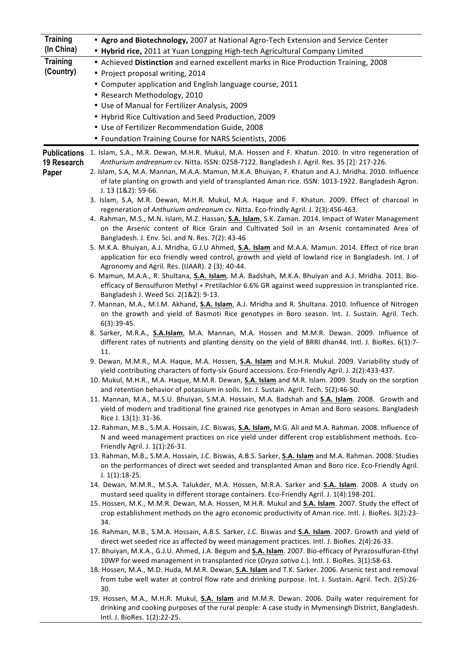| <b>Training</b>      | . Agro and Biotechnology, 2007 at National Agro-Tech Extension and Service Center                                                                                                                                                                                                                                                                                                                                                                   |  |  |  |
|----------------------|-----------------------------------------------------------------------------------------------------------------------------------------------------------------------------------------------------------------------------------------------------------------------------------------------------------------------------------------------------------------------------------------------------------------------------------------------------|--|--|--|
| (In China)           | . Hybrid rice, 2011 at Yuan Longping High-tech Agricultural Company Limited                                                                                                                                                                                                                                                                                                                                                                         |  |  |  |
| <b>Training</b>      | • Achieved Distinction and earned excellent marks in Rice Production Training, 2008                                                                                                                                                                                                                                                                                                                                                                 |  |  |  |
| (Country)            | • Project proposal writing, 2014                                                                                                                                                                                                                                                                                                                                                                                                                    |  |  |  |
|                      | • Computer application and English language course, 2011                                                                                                                                                                                                                                                                                                                                                                                            |  |  |  |
|                      | • Research Methodology, 2010                                                                                                                                                                                                                                                                                                                                                                                                                        |  |  |  |
|                      | • Use of Manual for Fertilizer Analysis, 2009                                                                                                                                                                                                                                                                                                                                                                                                       |  |  |  |
|                      | • Hybrid Rice Cultivation and Seed Production, 2009                                                                                                                                                                                                                                                                                                                                                                                                 |  |  |  |
|                      | • Use of Fertilizer Recommendation Guide, 2008                                                                                                                                                                                                                                                                                                                                                                                                      |  |  |  |
|                      | • Foundation Training Course for NARS Scientists, 2006                                                                                                                                                                                                                                                                                                                                                                                              |  |  |  |
| 19 Research<br>Paper | Publications 1. Islam, S.A., M.R. Dewan, M.H.R. Mukul, M.A. Hossen and F. Khatun. 2010. In vitro regeneration of<br>Anthurium andreanum cv. Nitta. ISSN: 0258-7122. Bangladesh J. Agril. Res. 35 [2]: 217-226.<br>2. Islam, S.A, M.A. Mannan, M.A.A. Mamun, M.K.A. Bhuiyan, F. Khatun and A.J. Mridha. 2010. Influence<br>of late planting on growth and yield of transplanted Aman rice. ISSN: 1013-1922. Bangladesh Agron.<br>J. 13 (1&2): 59-66. |  |  |  |
|                      | 3. Islam, S.A, M.R. Dewan, M.H.R. Mukul, M.A. Haque and F. Khatun. 2009. Effect of charcoal in<br>regeneration of Anthurium andreanum cv. Nitta. Eco-frindly Agril. J. 2(3):456-463.<br>4. Rahman, M.S., M.N. Islam, M.Z. Hassan, S.A. Islam, S.K. Zaman. 2014. Impact of Water Management<br>on the Arsenic content of Rice Grain and Cultivated Soil in an Arsenic contaminated Area of<br>Bangladesh. J. Env. Sci. and N. Res. 7(2): 43-46       |  |  |  |
|                      | 5. M.K.A. Bhuiyan, A.J. Mridha, G.J.U Ahmed, S.A. Islam and M.A.A. Mamun. 2014. Effect of rice bran<br>application for eco friendly weed control, growth and yield of lowland rice in Bangladesh. Int. J of<br>Agronomy and Agril. Res. (IJAAR). 2 (3): 40-44.                                                                                                                                                                                      |  |  |  |
|                      | 6. Mamun, M.A.A., R. Shultana, S.A. Islam, M.A. Badshah, M.K.A. Bhuiyan and A.J. Mridha. 2011. Bio-<br>efficacy of Bensulfuron Methyl + Pretilachlor 6.6% GR against weed suppression in transplanted rice.<br>Bangladesh J. Weed Sci. 2(1&2): 9-13.                                                                                                                                                                                                |  |  |  |
|                      | 7. Mannan, M.A., M.I.M. Akhand, S.A. Islam, A.J. Mridha and R. Shultana. 2010. Influence of Nitrogen<br>on the growth and yield of Basmoti Rice genotypes in Boro season. Int. J. Sustain. Agril. Tech.<br>$6(3):39-45.$                                                                                                                                                                                                                            |  |  |  |
|                      | 8. Sarker, M.R.A., S.A.Islam, M.A. Mannan, M.A. Hossen and M.M.R. Dewan. 2009. Influence of<br>different rates of nutrients and planting density on the yield of BRRI dhan44. Intl. J. BioRes. 6(1):7-<br>11.                                                                                                                                                                                                                                       |  |  |  |
|                      | 9. Dewan, M.M.R., M.A. Haque, M.A. Hossen, S.A. Islam and M.H.R. Mukul. 2009. Variability study of<br>yield contributing characters of forty-six Gourd accessions. Eco-Friendly Agril. J. 2(2):433-437.<br>10. Mukul, M.H.R., M.A. Haque, M.M.R. Dewan, S.A. Islam and M.R. Islam. 2009. Study on the sorption                                                                                                                                      |  |  |  |
|                      | and retention behavior of potassium in soils. Int. J. Sustain. Agril. Tech. 5(2):46-50.<br>11. Mannan, M.A., M.S.U. Bhuiyan, S.M.A. Hossain, M.A. Badshah and S.A. Islam. 2008. Growth and                                                                                                                                                                                                                                                          |  |  |  |
|                      | yield of modern and traditional fine grained rice genotypes in Aman and Boro seasons. Bangladesh<br>Rice J. 13(1): 31-36.                                                                                                                                                                                                                                                                                                                           |  |  |  |
|                      | 12. Rahman, M.B., S.M.A. Hossain, J.C. Biswas, S.A. Islam, M.G. Ali and M.A. Rahman. 2008. Influence of<br>N and weed management practices on rice yield under different crop establishment methods. Eco-<br>Friendly Agril. J. 1(1):26-31.                                                                                                                                                                                                         |  |  |  |
|                      | 13. Rahman, M.B., S.M.A. Hossain, J.C. Biswas, A.B.S. Sarker, S.A. Islam and M.A. Rahman. 2008. Studies<br>on the performances of direct wet seeded and transplanted Aman and Boro rice. Eco-Friendly Agril.<br>$J. 1(1):18-25.$                                                                                                                                                                                                                    |  |  |  |
|                      | 14. Dewan, M.M.R., M.S.A. Talukder, M.A. Hossen, M.R.A. Sarker and <b>S.A. Islam</b> . 2008. A study on<br>mustard seed quality in different storage containers. Eco-Friendly Agril. J. 1(4):198-201.<br>15. Hossen, M.K., M.M.R. Dewan, M.A. Hossen, M.H.R. Mukul and <b>S.A. Islam</b> . 2007. Study the effect of<br>crop establishment methods on the agro economic productivity of Aman rice. Intl. J. BioRes. 3(2):23-                        |  |  |  |
|                      | 34.<br>16. Rahman, M.B., S.M.A. Hossain, A.B.S. Sarker, J.C. Biswas and S.A. Islam. 2007. Growth and yield of                                                                                                                                                                                                                                                                                                                                       |  |  |  |
|                      | direct wet seeded rice as affected by weed management practices. Intl. J. BioRes. 2(4):26-33.<br>17. Bhuiyan, M.K.A., G.J.U. Ahmed, J.A. Begum and S.A. Islam. 2007. Bio-efficacy of Pyrazosulfuran-Ethyl                                                                                                                                                                                                                                           |  |  |  |
|                      | 10WP for weed management in transplanted rice (Oryza sativa L.). Intl. J. BioRes. 3(1):58-63.<br>18. Hossen, M.A., M.D. Huda, M.M.R. Dewan, S.A. Islam and T.K. Sarker. 2006. Arsenic test and removal<br>from tube well water at control flow rate and drinking purpose. Int. J. Sustain. Agril. Tech. 2(5):26-                                                                                                                                    |  |  |  |
|                      | 30.<br>19. Hossen, M.A., M.H.R. Mukul, S.A. Islam and M.M.R. Dewan. 2006. Daily water requirement for<br>drinking and cooking purposes of the rural people: A case study in Mymensingh District, Bangladesh.<br>Intl. J. BioRes. 1(2):22-25.                                                                                                                                                                                                        |  |  |  |